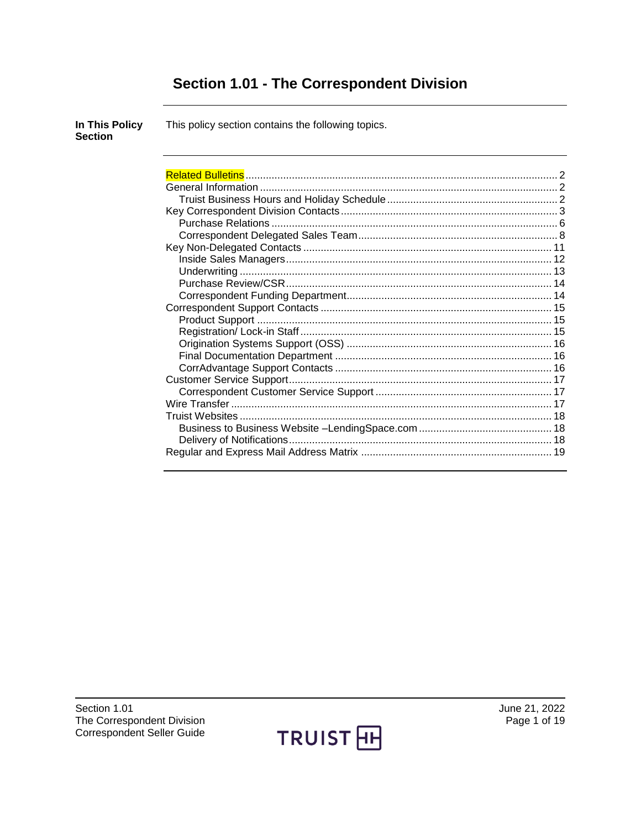# Section 1.01 - The Correspondent Division

| In This Policy<br><b>Section</b> | This policy section contains the following topics. |  |
|----------------------------------|----------------------------------------------------|--|
|                                  |                                                    |  |
|                                  |                                                    |  |
|                                  |                                                    |  |
|                                  |                                                    |  |
|                                  |                                                    |  |
|                                  |                                                    |  |
|                                  |                                                    |  |
|                                  |                                                    |  |
|                                  |                                                    |  |
|                                  |                                                    |  |
|                                  |                                                    |  |
|                                  |                                                    |  |
|                                  |                                                    |  |
|                                  |                                                    |  |
|                                  |                                                    |  |
|                                  |                                                    |  |
|                                  |                                                    |  |
|                                  |                                                    |  |
|                                  |                                                    |  |
|                                  |                                                    |  |
|                                  |                                                    |  |
|                                  |                                                    |  |
|                                  |                                                    |  |
|                                  |                                                    |  |
|                                  |                                                    |  |

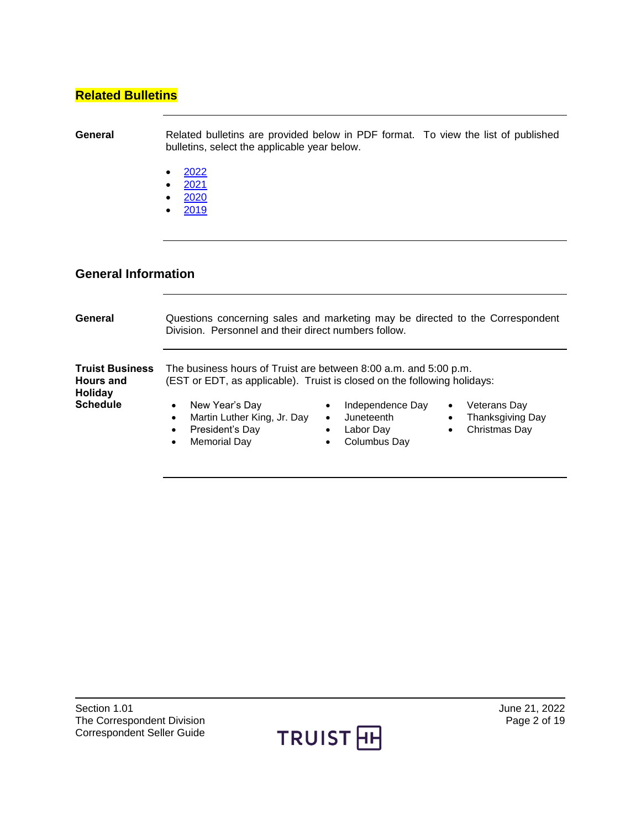#### <span id="page-1-0"></span>**Related Bulletins**

**General** Related bulletins are provided below in PDF format. To view the list of published bulletins, select the applicable year below.

- $\bullet$  [2022](https://truistsellerguide.com/manual/cor/bulletins/Related%20Bulletins/2022/CCorrespondentDivision2022.pdf)
- [2021](https://truistsellerguide.com/manual/cor/bulletins/Related%20Bulletins/2021/CCorrespondentDivision2021.pdf)
- $\bullet$  [2020](https://truistsellerguide.com/manual/cor/bulletins/Related%20Bulletins/2020/CCorrespondentDivision2020.pdf)
- $2019$  $2019$

#### <span id="page-1-1"></span>**General Information**

<span id="page-1-2"></span>

| General                                                      | Questions concerning sales and marketing may be directed to the Correspondent<br>Division. Personnel and their direct numbers follow.        |                                                                                         |                                                                                          |
|--------------------------------------------------------------|----------------------------------------------------------------------------------------------------------------------------------------------|-----------------------------------------------------------------------------------------|------------------------------------------------------------------------------------------|
| <b>Truist Business</b><br><b>Hours and</b><br><b>Holiday</b> | The business hours of Truist are between 8:00 a.m. and 5:00 p.m.<br>(EST or EDT, as applicable). Truist is closed on the following holidays: |                                                                                         |                                                                                          |
| <b>Schedule</b>                                              | New Year's Day<br>Martin Luther King, Jr. Day<br>President's Day<br>Memorial Day                                                             | Independence Day<br>٠<br>Juneteenth<br>٠<br>Labor Day<br>$\bullet$<br>Columbus Day<br>٠ | Veterans Day<br>$\bullet$<br>Thanksgiving Day<br>$\bullet$<br>Christmas Day<br>$\bullet$ |



Broker Seller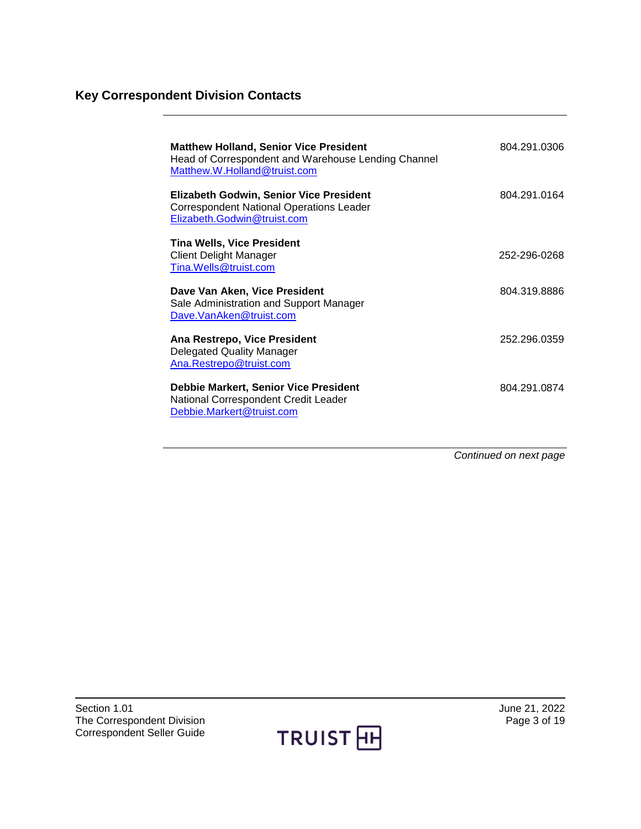# <span id="page-2-0"></span>**Key Correspondent Division Contacts**

| <b>Matthew Holland, Senior Vice President</b><br>Head of Correspondent and Warehouse Lending Channel<br>Matthew.W.Holland@truist.com | 804.291.0306 |
|--------------------------------------------------------------------------------------------------------------------------------------|--------------|
| <b>Elizabeth Godwin, Senior Vice President</b><br><b>Correspondent National Operations Leader</b><br>Elizabeth.Godwin@truist.com     | 804 291 0164 |
| <b>Tina Wells, Vice President</b><br><b>Client Delight Manager</b><br>Tina.Wells@truist.com                                          | 252-296-0268 |
| Dave Van Aken, Vice President<br>Sale Administration and Support Manager<br>Dave.VanAken@truist.com                                  | 804.319.8886 |
| Ana Restrepo, Vice President<br><b>Delegated Quality Manager</b><br>Ana.Restrepo@truist.com                                          | 252.296.0359 |
| <b>Debbie Markert, Senior Vice President</b><br>National Correspondent Credit Leader<br>Debbie.Markert@truist.com                    | 804 291 0874 |

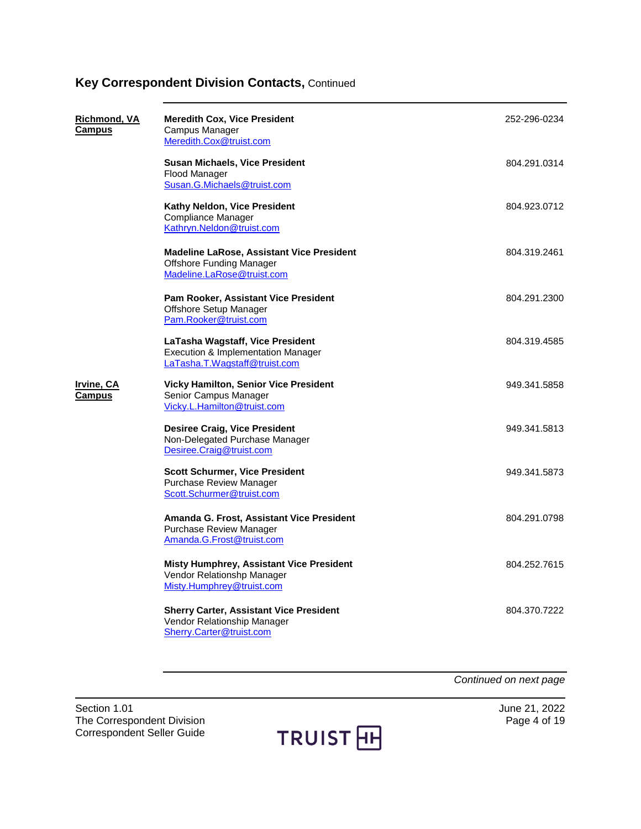| <u>Richmond, VA</u><br>Campus | <b>Meredith Cox, Vice President</b><br>Campus Manager<br>Meredith.Cox@truist.com                           | 252-296-0234 |
|-------------------------------|------------------------------------------------------------------------------------------------------------|--------------|
|                               | <b>Susan Michaels, Vice President</b><br>Flood Manager<br>Susan.G.Michaels@truist.com                      | 804.291.0314 |
|                               | Kathy Neldon, Vice President<br><b>Compliance Manager</b><br>Kathryn.Neldon@truist.com                     | 804.923.0712 |
|                               | Madeline LaRose, Assistant Vice President<br><b>Offshore Funding Manager</b><br>Madeline.LaRose@truist.com | 804.319.2461 |
|                               | Pam Rooker, Assistant Vice President<br>Offshore Setup Manager<br>Pam.Rooker@truist.com                    | 804.291.2300 |
|                               | LaTasha Wagstaff, Vice President<br>Execution & Implementation Manager<br>LaTasha.T.Wagstaff@truist.com    | 804.319.4585 |
| Irvine, CA<br>Campus          | <b>Vicky Hamilton, Senior Vice President</b><br>Senior Campus Manager<br>Vicky.L.Hamilton@truist.com       | 949.341.5858 |
|                               | <b>Desiree Craig, Vice President</b><br>Non-Delegated Purchase Manager<br>Desiree.Craig@truist.com         | 949.341.5813 |
|                               | <b>Scott Schurmer, Vice President</b><br>Purchase Review Manager<br>Scott.Schurmer@truist.com              | 949.341.5873 |
|                               | Amanda G. Frost, Assistant Vice President<br><b>Purchase Review Manager</b><br>Amanda.G.Frost@truist.com   | 804.291.0798 |
|                               | Misty Humphrey, Assistant Vice President<br>Vendor Relationshp Manager<br>Misty.Humphrey@truist.com        | 804.252.7615 |
|                               | <b>Sherry Carter, Assistant Vice President</b><br>Vendor Relationship Manager<br>Sherry.Carter@truist.com  | 804.370.7222 |

*Continued on next page*

Section 1.01 June 21, 2022<br>The Correspondent Division **1.01** June 21, 2022 The Correspondent Division Correspondent Seller Guide

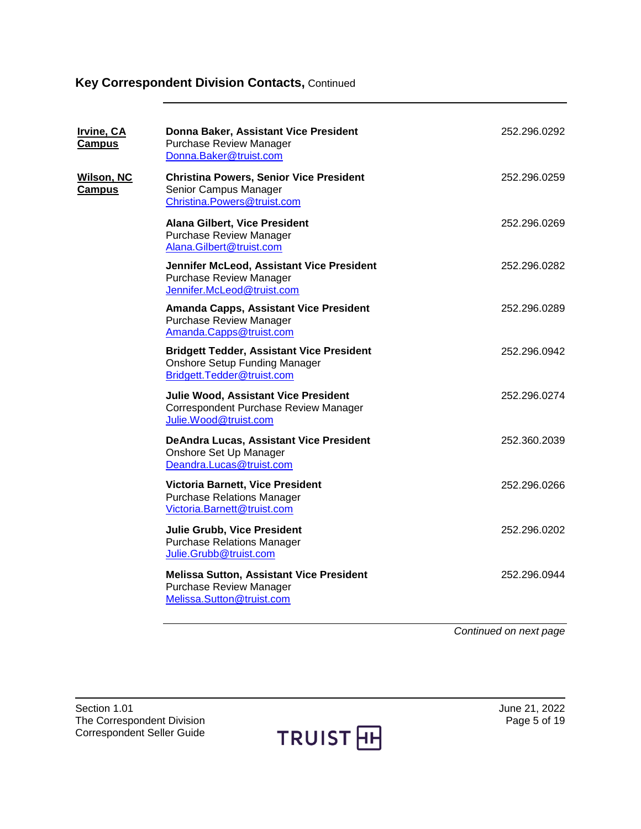| <u>Irvine, CA</u><br><b>Campus</b> | Donna Baker, Assistant Vice President<br><b>Purchase Review Manager</b><br>Donna.Baker@truist.com                      | 252.296.0292 |
|------------------------------------|------------------------------------------------------------------------------------------------------------------------|--------------|
| <b>Wilson, NC</b><br><b>Campus</b> | <b>Christina Powers, Senior Vice President</b><br>Senior Campus Manager<br>Christina.Powers@truist.com                 | 252.296.0259 |
|                                    | <b>Alana Gilbert, Vice President</b><br><b>Purchase Review Manager</b><br>Alana.Gilbert@truist.com                     | 252.296.0269 |
|                                    | Jennifer McLeod, Assistant Vice President<br><b>Purchase Review Manager</b><br>Jennifer.McLeod@truist.com              | 252.296.0282 |
|                                    | Amanda Capps, Assistant Vice President<br><b>Purchase Review Manager</b><br>Amanda.Capps@truist.com                    | 252.296.0289 |
|                                    | <b>Bridgett Tedder, Assistant Vice President</b><br><b>Onshore Setup Funding Manager</b><br>Bridgett.Tedder@truist.com | 252.296.0942 |
|                                    | Julie Wood, Assistant Vice President<br>Correspondent Purchase Review Manager<br>Julie.Wood@truist.com                 | 252.296.0274 |
|                                    | <b>DeAndra Lucas, Assistant Vice President</b><br>Onshore Set Up Manager<br>Deandra.Lucas@truist.com                   | 252.360.2039 |
|                                    | Victoria Barnett, Vice President<br><b>Purchase Relations Manager</b><br>Victoria.Barnett@truist.com                   | 252.296.0266 |
|                                    | <b>Julie Grubb, Vice President</b><br><b>Purchase Relations Manager</b><br>Julie.Grubb@truist.com                      | 252.296.0202 |
|                                    | <b>Melissa Sutton, Assistant Vice President</b><br>Purchase Review Manager<br>Melissa.Sutton@truist.com                | 252.296.0944 |
|                                    |                                                                                                                        |              |

*Continued on next page*

Section 1.01<br>
The Correspondent Division<br>
The Correspondent Division<br>
The Correspondent Division<br>
Section<br>
21, 2022 The Correspondent Division Correspondent Seller Guide

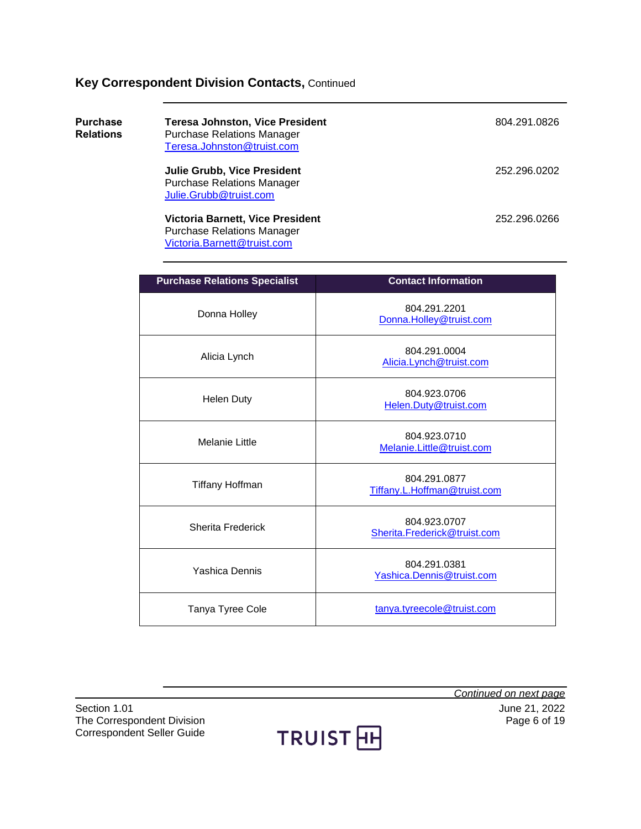<span id="page-5-0"></span>

| <b>Purchase</b><br><b>Relations</b> | <b>Teresa Johnston, Vice President</b><br><b>Purchase Relations Manager</b><br>Teresa.Johnston@truist.com   | 804.291.0826 |
|-------------------------------------|-------------------------------------------------------------------------------------------------------------|--------------|
|                                     | <b>Julie Grubb, Vice President</b><br><b>Purchase Relations Manager</b><br>Julie.Grubb@truist.com           | 252.296.0202 |
|                                     | <b>Victoria Barnett, Vice President</b><br><b>Purchase Relations Manager</b><br>Victoria.Barnett@truist.com | 252.296.0266 |

| <b>Purchase Relations Specialist</b> | <b>Contact Information</b>                   |
|--------------------------------------|----------------------------------------------|
| Donna Holley                         | 804.291.2201<br>Donna.Holley@truist.com      |
| Alicia Lynch                         | 804.291.0004<br>Alicia.Lynch@truist.com      |
| <b>Helen Duty</b>                    | 804.923.0706<br>Helen.Duty@truist.com        |
| Melanie Little                       | 804.923.0710<br>Melanie.Little@truist.com    |
| Tiffany Hoffman                      | 804.291.0877<br>Tiffany.L.Hoffman@truist.com |
| <b>Sherita Frederick</b>             | 804.923.0707<br>Sherita.Frederick@truist.com |
| Yashica Dennis                       | 804.291.0381<br>Yashica.Dennis@truist.com    |
| Tanya Tyree Cole                     | tanya.tyreecole@truist.com                   |

Section 1.01<br>The Correspondent Division<br>The Correspondent Division<br>Correspondent Division<br>Correspondent Division<br>Correspondent Division<br>Correspondent Division The Correspondent Division Correspondent Seller Guide

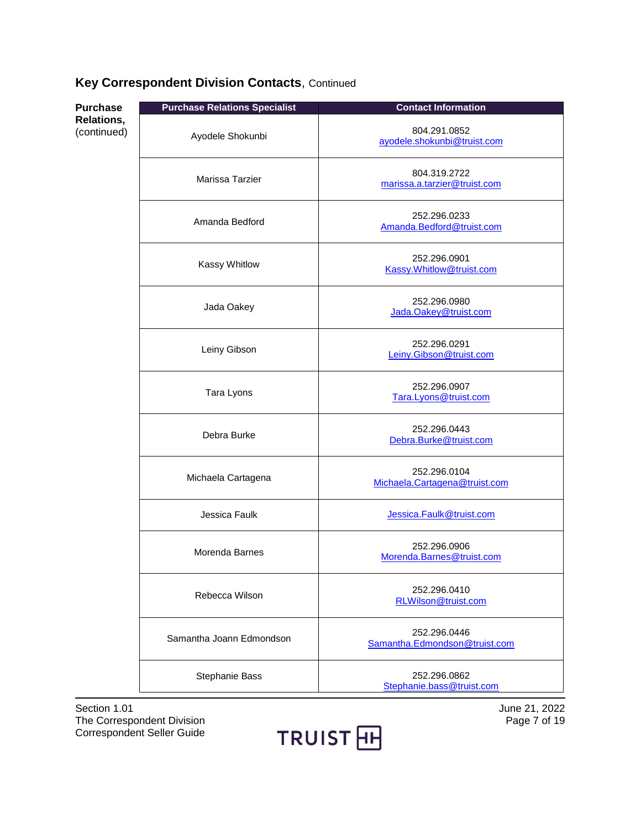| <b>Purchase</b>           | <b>Purchase Relations Specialist</b> | <b>Contact Information</b>                    |
|---------------------------|--------------------------------------|-----------------------------------------------|
| Relations,<br>(continued) | Ayodele Shokunbi                     | 804.291.0852<br>ayodele.shokunbi@truist.com   |
|                           | Marissa Tarzier                      | 804.319.2722<br>marissa.a.tarzier@truist.com  |
|                           | Amanda Bedford                       | 252.296.0233<br>Amanda.Bedford@truist.com     |
|                           | Kassy Whitlow                        | 252.296.0901<br>Kassy.Whitlow@truist.com      |
|                           | Jada Oakey                           | 252.296.0980<br>Jada.Oakey@truist.com         |
|                           | Leiny Gibson                         | 252.296.0291<br>Leiny.Gibson@truist.com       |
|                           | Tara Lyons                           | 252.296.0907<br>Tara.Lyons@truist.com         |
|                           | Debra Burke                          | 252.296.0443<br>Debra.Burke@truist.com        |
|                           | Michaela Cartagena                   | 252.296.0104<br>Michaela.Cartagena@truist.com |
|                           | Jessica Faulk                        | Jessica.Faulk@truist.com                      |
|                           | Morenda Barnes                       | 252.296.0906<br>Morenda.Barnes@truist.com     |
|                           | Rebecca Wilson                       | 252.296.0410<br>RLWilson@truist.com           |
|                           | Samantha Joann Edmondson             | 252.296.0446<br>Samantha.Edmondson@truist.com |
|                           | Stephanie Bass                       | 252.296.0862<br>Stephanie.bass@truist.com     |

Section 1.01<br>
The Correspondent Division<br>
The Correspondent Division<br>
The Correspondent Division<br>
Section<br>
21, 2022 The Correspondent Division Correspondent Seller Guide

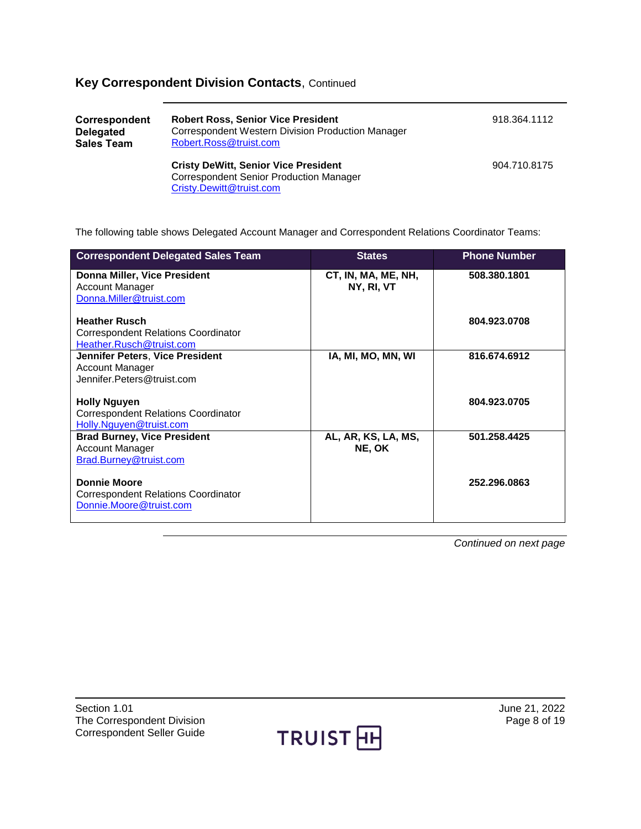<span id="page-7-0"></span>

| Correspondent<br><b>Delegated</b><br><b>Sales Team</b> | <b>Robert Ross, Senior Vice President</b><br>Correspondent Western Division Production Manager<br>Robert.Ross@truist.com  | 918.364.1112 |  |
|--------------------------------------------------------|---------------------------------------------------------------------------------------------------------------------------|--------------|--|
|                                                        | <b>Cristy DeWitt, Senior Vice President</b><br><b>Correspondent Senior Production Manager</b><br>Cristy.Dewitt@truist.com | 904.710.8175 |  |

The following table shows Delegated Account Manager and Correspondent Relations Coordinator Teams:

| <b>States</b>       | <b>Phone Number</b> |
|---------------------|---------------------|
| CT, IN, MA, ME, NH, | 508.380.1801        |
| NY, RI, VT          |                     |
|                     |                     |
|                     |                     |
|                     | 804.923.0708        |
|                     |                     |
|                     |                     |
| IA, MI, MO, MN, WI  | 816.674.6912        |
|                     |                     |
|                     |                     |
|                     |                     |
|                     | 804.923.0705        |
|                     |                     |
|                     |                     |
| AL, AR, KS, LA, MS, | 501.258.4425        |
| NE, OK              |                     |
|                     |                     |
|                     |                     |
|                     | 252.296.0863        |
|                     |                     |
|                     |                     |
|                     |                     |
|                     |                     |

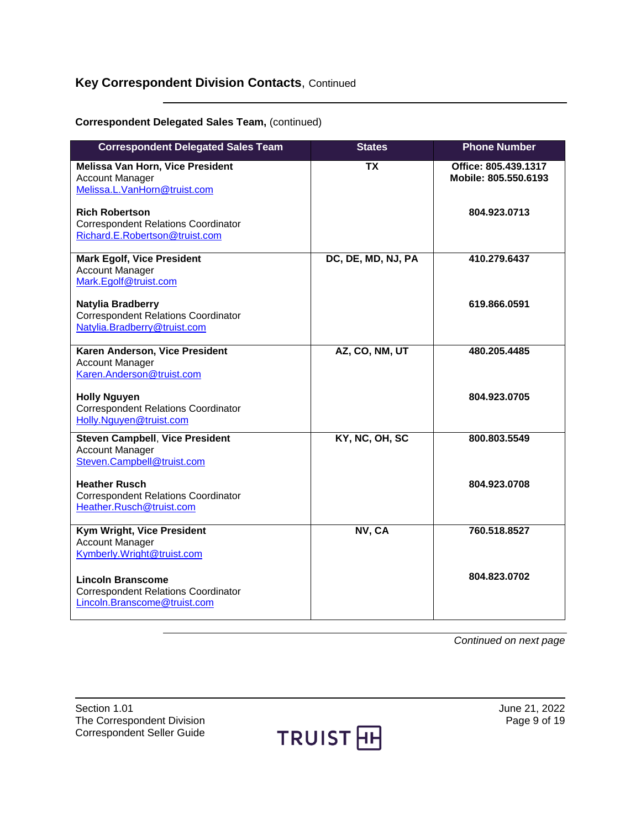#### **Correspondent Delegated Sales Team,** (continued)

| <b>Correspondent Delegated Sales Team</b>                                                              | <b>States</b>            | <b>Phone Number</b>                          |
|--------------------------------------------------------------------------------------------------------|--------------------------|----------------------------------------------|
| Melissa Van Horn, Vice President<br><b>Account Manager</b><br>Melissa.L.VanHorn@truist.com             | $\overline{\mathsf{TX}}$ | Office: 805.439.1317<br>Mobile: 805.550.6193 |
| <b>Rich Robertson</b><br><b>Correspondent Relations Coordinator</b><br>Richard.E.Robertson@truist.com  |                          | 804.923.0713                                 |
| <b>Mark Egolf, Vice President</b><br><b>Account Manager</b><br>Mark.Egolf@truist.com                   | DC, DE, MD, NJ, PA       | 410.279.6437                                 |
| Natylia Bradberry<br><b>Correspondent Relations Coordinator</b><br>Natylia.Bradberry@truist.com        |                          | 619.866.0591                                 |
| Karen Anderson, Vice President<br><b>Account Manager</b><br>Karen.Anderson@truist.com                  | AZ, CO, NM, UT           | 480.205.4485                                 |
| <b>Holly Nguyen</b><br><b>Correspondent Relations Coordinator</b><br>Holly.Nguyen@truist.com           |                          | 804.923.0705                                 |
| <b>Steven Campbell, Vice President</b><br><b>Account Manager</b><br>Steven.Campbell@truist.com         | KY, NC, OH, SC           | 800.803.5549                                 |
| <b>Heather Rusch</b><br><b>Correspondent Relations Coordinator</b><br>Heather.Rusch@truist.com         |                          | 804.923.0708                                 |
| Kym Wright, Vice President<br><b>Account Manager</b><br>Kymberly.Wright@truist.com                     | NV, CA                   | 760.518.8527                                 |
| <b>Lincoln Branscome</b><br><b>Correspondent Relations Coordinator</b><br>Lincoln.Branscome@truist.com |                          | 804.823.0702                                 |

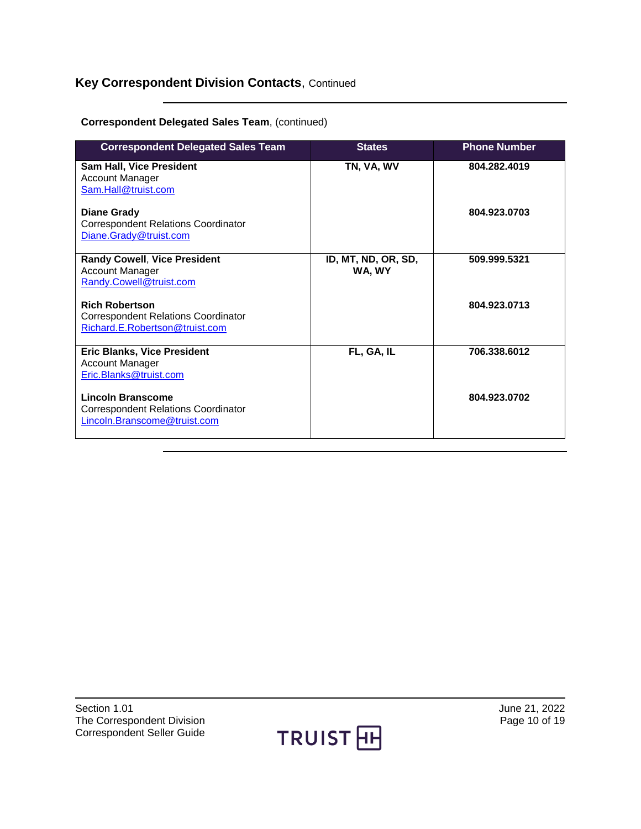#### **Correspondent Delegated Sales Team**, (continued)

| <b>Correspondent Delegated Sales Team</b>                                                      | <b>States</b>                 | <b>Phone Number</b> |
|------------------------------------------------------------------------------------------------|-------------------------------|---------------------|
| Sam Hall, Vice President<br><b>Account Manager</b><br>Sam.Hall@truist.com                      | TN, VA, WV                    | 804.282.4019        |
| <b>Diane Grady</b><br><b>Correspondent Relations Coordinator</b><br>Diane.Grady@truist.com     |                               | 804.923.0703        |
| <b>Randy Cowell, Vice President</b><br><b>Account Manager</b><br>Randy.Cowell@truist.com       | ID, MT, ND, OR, SD,<br>WA, WY | 509.999.5321        |
| <b>Rich Robertson</b><br>Correspondent Relations Coordinator<br>Richard.E.Robertson@truist.com |                               | 804.923.0713        |
| <b>Eric Blanks, Vice President</b><br><b>Account Manager</b><br>Eric.Blanks@truist.com         | FL, GA, IL                    | 706.338.6012        |
| Lincoln Branscome<br>Correspondent Relations Coordinator<br>Lincoln.Branscome@truist.com       |                               | 804.923.0702        |

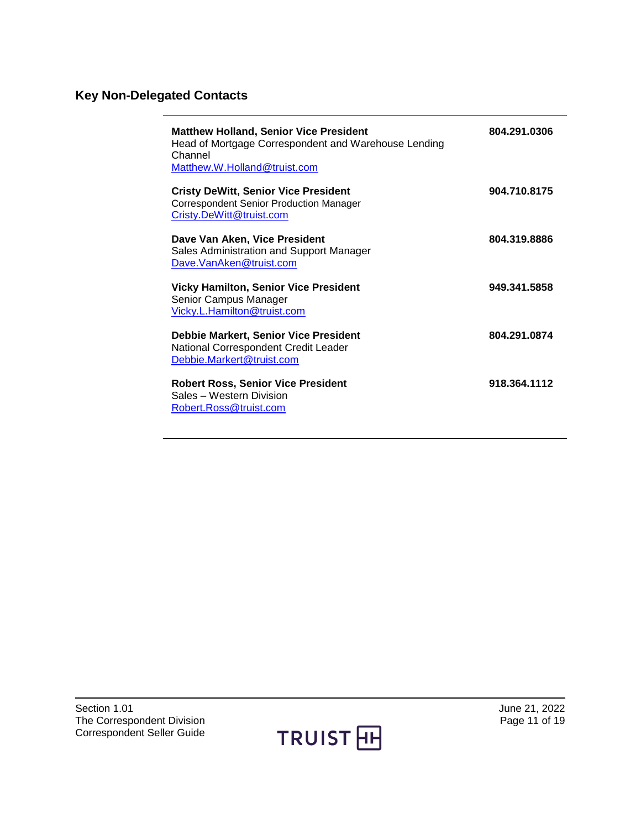# <span id="page-10-0"></span>**Key Non-Delegated Contacts**

| <b>Matthew Holland, Senior Vice President</b><br>Head of Mortgage Correspondent and Warehouse Lending<br>Channel<br>Matthew.W.Holland@truist.com | 804.291.0306 |
|--------------------------------------------------------------------------------------------------------------------------------------------------|--------------|
| <b>Cristy DeWitt, Senior Vice President</b><br><b>Correspondent Senior Production Manager</b><br>Cristy.DeWitt@truist.com                        | 904.710.8175 |
| Dave Van Aken, Vice President<br>Sales Administration and Support Manager<br>Dave.VanAken@truist.com                                             | 804.319.8886 |
| <b>Vicky Hamilton, Senior Vice President</b><br>Senior Campus Manager<br>Vicky.L.Hamilton@truist.com                                             | 949.341.5858 |
| <b>Debbie Markert, Senior Vice President</b><br>National Correspondent Credit Leader<br>Debbie.Markert@truist.com                                | 804.291.0874 |
| <b>Robert Ross, Senior Vice President</b><br>Sales - Western Division<br>Robert.Ross@truist.com                                                  | 918.364.1112 |

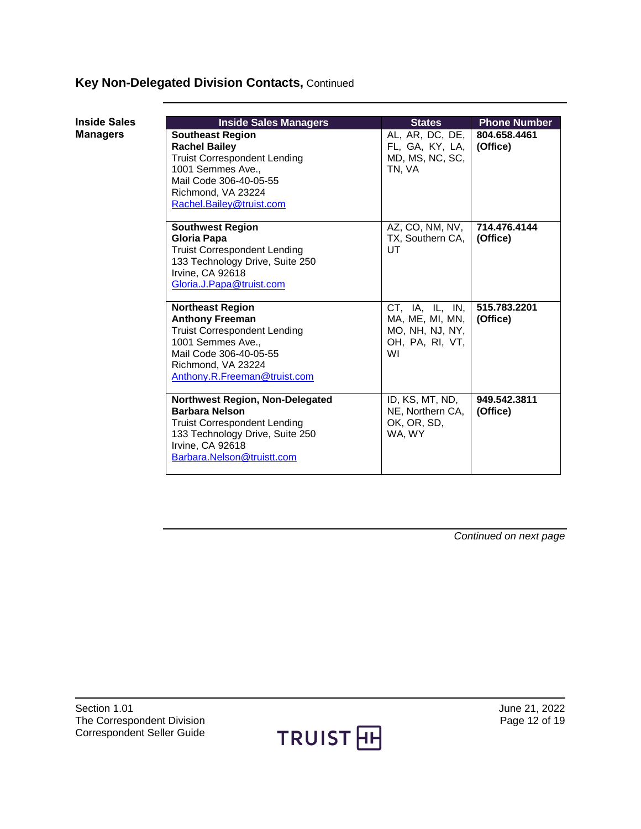## **Key Non-Delegated Division Contacts,** Continued

<span id="page-11-0"></span>

| <b>Inside Sales</b> |  |
|---------------------|--|
| <b>Managers</b>     |  |

| <b>Inside Sales Managers</b>                                                                                                                                                                  | <b>States</b>                                                                  | <b>Phone Number</b>      |
|-----------------------------------------------------------------------------------------------------------------------------------------------------------------------------------------------|--------------------------------------------------------------------------------|--------------------------|
| <b>Southeast Region</b><br><b>Rachel Bailey</b><br><b>Truist Correspondent Lending</b><br>1001 Semmes Ave<br>Mail Code 306-40-05-55<br>Richmond, VA 23224<br>Rachel.Bailey@truist.com         | AL, AR, DC, DE, $ $<br>FL, GA, KY, LA,<br>MD, MS, NC, SC,<br>TN. VA            | 804.658.4461<br>(Office) |
| <b>Southwest Region</b><br>Gloria Papa<br><b>Truist Correspondent Lending</b><br>133 Technology Drive, Suite 250<br>Irvine, CA 92618<br>Gloria.J.Papa@truist.com                              | AZ, CO, NM, NV,<br>TX, Southern CA,<br>UT                                      | 714.476.4144<br>(Office) |
| <b>Northeast Region</b><br><b>Anthony Freeman</b><br><b>Truist Correspondent Lending</b><br>1001 Semmes Ave.,<br>Mail Code 306-40-05-55<br>Richmond, VA 23224<br>Anthony.R.Freeman@truist.com | CT, IA, IL, IN,<br>MA, ME, MI, MN,<br>MO, NH, NJ, NY,<br>OH, PA, RI, VT,<br>WI | 515.783.2201<br>(Office) |
| Northwest Region, Non-Delegated<br><b>Barbara Nelson</b><br><b>Truist Correspondent Lending</b><br>133 Technology Drive, Suite 250<br><b>Irvine, CA 92618</b><br>Barbara.Nelson@truistt.com   | ID, KS, MT, ND,<br>NE, Northern CA,<br>OK, OR, SD,<br>WA, WY                   | 949.542.3811<br>(Office) |



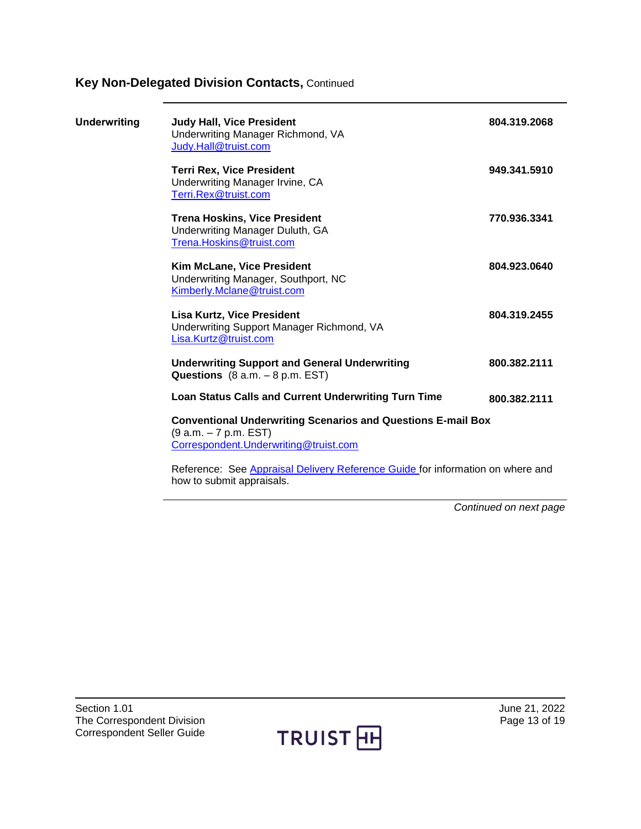## **Key Non-Delegated Division Contacts,** Continued

<span id="page-12-0"></span>

| <b>Underwriting</b> | <b>Judy Hall, Vice President</b><br>Underwriting Manager Richmond, VA<br>Judy.Hall@truist.com                                          | 804.319.2068 |
|---------------------|----------------------------------------------------------------------------------------------------------------------------------------|--------------|
|                     | <b>Terri Rex, Vice President</b><br>Underwriting Manager Irvine, CA<br>Terri.Rex@truist.com                                            | 949.341.5910 |
|                     | <b>Trena Hoskins, Vice President</b><br>Underwriting Manager Duluth, GA<br>Trena.Hoskins@truist.com                                    | 770.936.3341 |
|                     | Kim McLane, Vice President<br>Underwriting Manager, Southport, NC<br>Kimberly.Mclane@truist.com                                        | 804.923.0640 |
|                     | <b>Lisa Kurtz, Vice President</b><br>Underwriting Support Manager Richmond, VA<br>Lisa.Kurtz@truist.com                                | 804.319.2455 |
|                     | <b>Underwriting Support and General Underwriting</b><br>Questions $(8 a.m. - 8 p.m. EST)$                                              | 800.382.2111 |
|                     | Loan Status Calls and Current Underwriting Turn Time                                                                                   | 800.382.2111 |
|                     | <b>Conventional Underwriting Scenarios and Questions E-mail Box</b><br>(9 a.m. – 7 p.m. EST)<br>Correspondent. Underwriting@truist.com |              |
|                     | Reference: See Appraisal Delivery Reference Guide for information on where and                                                         |              |

how to submit appraisals.



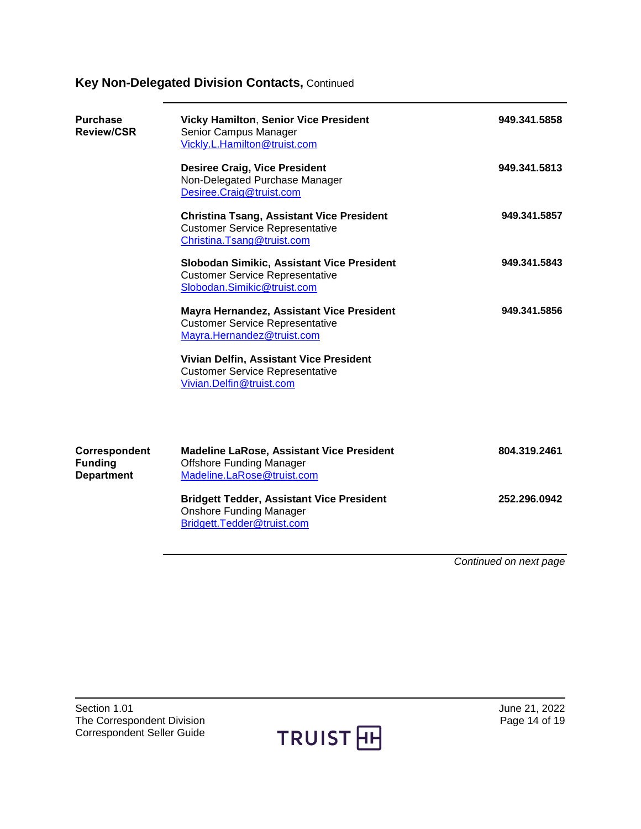## **Key Non-Delegated Division Contacts,** Continued

<span id="page-13-1"></span><span id="page-13-0"></span>

| <b>Purchase</b><br><b>Review/CSR</b>                 | <b>Vicky Hamilton, Senior Vice President</b><br>Senior Campus Manager<br>Vickly.L.Hamilton@truist.com                    | 949.341.5858 |  |
|------------------------------------------------------|--------------------------------------------------------------------------------------------------------------------------|--------------|--|
|                                                      | <b>Desiree Craig, Vice President</b><br>Non-Delegated Purchase Manager<br>Desiree.Craig@truist.com                       | 949.341.5813 |  |
|                                                      | <b>Christina Tsang, Assistant Vice President</b><br><b>Customer Service Representative</b><br>Christina.Tsang@truist.com | 949.341.5857 |  |
|                                                      | Slobodan Simikic, Assistant Vice President<br><b>Customer Service Representative</b><br>Slobodan.Simikic@truist.com      | 949.341.5843 |  |
|                                                      | Mayra Hernandez, Assistant Vice President<br><b>Customer Service Representative</b><br>Mayra.Hernandez@truist.com        | 949.341.5856 |  |
|                                                      | Vivian Delfin, Assistant Vice President<br><b>Customer Service Representative</b><br>Vivian.Delfin@truist.com            |              |  |
| Correspondent<br><b>Funding</b><br><b>Department</b> | <b>Madeline LaRose, Assistant Vice President</b><br><b>Offshore Funding Manager</b><br>Madeline.LaRose@truist.com        | 804.319.2461 |  |
|                                                      | <b>Bridgett Tedder, Assistant Vice President</b><br><b>Onshore Funding Manager</b><br>Bridgett.Tedder@truist.com         | 252.296.0942 |  |
|                                                      |                                                                                                                          |              |  |

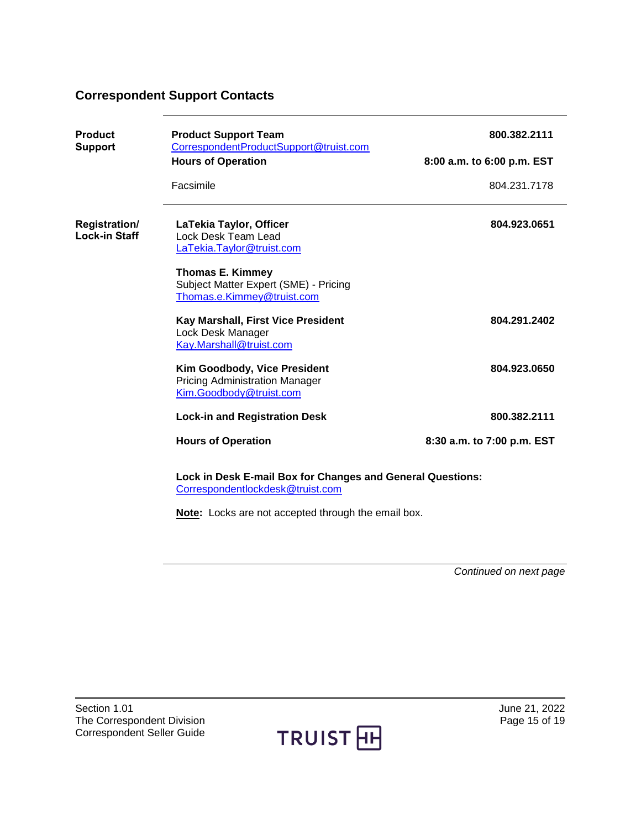### <span id="page-14-0"></span>**Correspondent Support Contacts**

<span id="page-14-2"></span><span id="page-14-1"></span>

| <b>Product</b><br><b>Support</b>      | <b>Product Support Team</b><br>CorrespondentProductSupport@truist.com                                   | 800.382.2111               |  |
|---------------------------------------|---------------------------------------------------------------------------------------------------------|----------------------------|--|
| <b>Hours of Operation</b>             |                                                                                                         | 8:00 a.m. to 6:00 p.m. EST |  |
|                                       | Facsimile                                                                                               | 804.231.7178               |  |
| Registration/<br><b>Lock-in Staff</b> | LaTekia Taylor, Officer<br>Lock Desk Team Lead<br>LaTekia.Taylor@truist.com                             | 804.923.0651               |  |
|                                       | <b>Thomas E. Kimmey</b><br>Subject Matter Expert (SME) - Pricing<br>Thomas.e.Kimmey@truist.com          |                            |  |
|                                       | Kay Marshall, First Vice President<br>Lock Desk Manager<br>Kay.Marshall@truist.com                      | 804.291.2402               |  |
|                                       | <b>Kim Goodbody, Vice President</b><br><b>Pricing Administration Manager</b><br>Kim.Goodbody@truist.com | 804.923.0650               |  |
|                                       | <b>Lock-in and Registration Desk</b>                                                                    | 800.382.2111               |  |
|                                       | <b>Hours of Operation</b>                                                                               | 8:30 a.m. to 7:00 p.m. EST |  |
|                                       | Lock in Desk E-mail Box for Changes and General Questions:<br>Correspondentlockdesk@truist.com          |                            |  |

**Note:** Locks are not accepted through the email box.

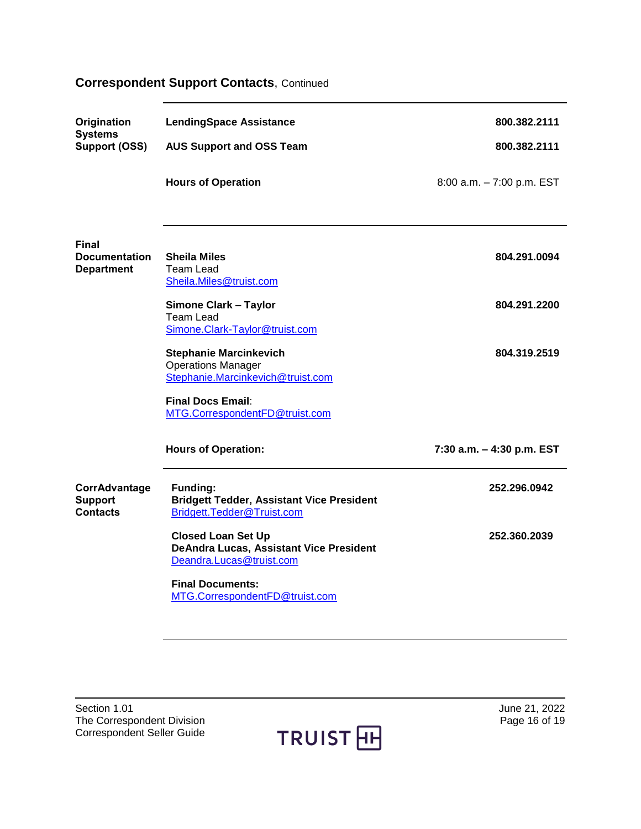## **Correspondent Support Contacts**, Continued

<span id="page-15-1"></span><span id="page-15-0"></span>

| Origination<br><b>Systems</b>                      | <b>LendingSpace Assistance</b>                                                                    | 800.382.2111              |
|----------------------------------------------------|---------------------------------------------------------------------------------------------------|---------------------------|
| Support (OSS)                                      | <b>AUS Support and OSS Team</b>                                                                   | 800.382.2111              |
|                                                    | <b>Hours of Operation</b>                                                                         | 8:00 a.m. - 7:00 p.m. EST |
| Final<br><b>Documentation</b><br><b>Department</b> | <b>Sheila Miles</b><br><b>Team Lead</b><br>Sheila.Miles@truist.com                                | 804.291.0094              |
|                                                    | <b>Simone Clark - Taylor</b><br><b>Team Lead</b><br>Simone.Clark-Taylor@truist.com                | 804.291.2200              |
|                                                    | <b>Stephanie Marcinkevich</b><br><b>Operations Manager</b><br>Stephanie.Marcinkevich@truist.com   | 804.319.2519              |
|                                                    | <b>Final Docs Email:</b><br>MTG.CorrespondentFD@truist.com                                        |                           |
|                                                    | <b>Hours of Operation:</b>                                                                        | 7:30 a.m. - 4:30 p.m. EST |
| CorrAdvantage<br><b>Support</b><br><b>Contacts</b> | <b>Funding:</b><br><b>Bridgett Tedder, Assistant Vice President</b><br>Bridgett.Tedder@Truist.com | 252.296.0942              |
|                                                    | <b>Closed Loan Set Up</b><br>DeAndra Lucas, Assistant Vice President<br>Deandra.Lucas@truist.com  | 252.360.2039              |
|                                                    | <b>Final Documents:</b><br>MTG.CorrespondentFD@truist.com                                         |                           |

<span id="page-15-2"></span>Section 1.01<br>
The Correspondent Division<br>
The Correspondent Division<br>
The Correspondent Division<br>
Section 1.01<br>
The Correspondent Division<br>
The Correspondent Division<br>
Section 1.01<br>
The Correspondent Division<br>
Section 1.02 The Correspondent Division Correspondent Seller Guide

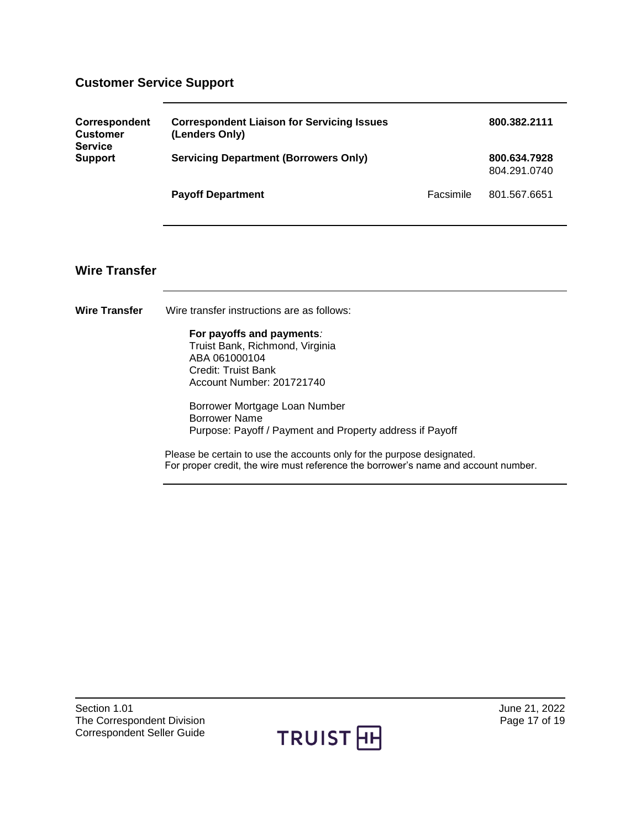## <span id="page-16-0"></span>**Customer Service Support**

<span id="page-16-2"></span><span id="page-16-1"></span>

| Correspondent<br><b>Customer</b><br><b>Service</b> | <b>Correspondent Liaison for Servicing Issues</b><br>(Lenders Only)                                                                                          | 800.382.2111                 |              |  |
|----------------------------------------------------|--------------------------------------------------------------------------------------------------------------------------------------------------------------|------------------------------|--------------|--|
| <b>Support</b>                                     | <b>Servicing Department (Borrowers Only)</b>                                                                                                                 | 800.634.7928<br>804.291.0740 |              |  |
|                                                    | <b>Payoff Department</b>                                                                                                                                     | Facsimile                    | 801.567.6651 |  |
|                                                    |                                                                                                                                                              |                              |              |  |
| <b>Wire Transfer</b>                               |                                                                                                                                                              |                              |              |  |
| <b>Wire Transfer</b>                               | Wire transfer instructions are as follows:                                                                                                                   |                              |              |  |
|                                                    | For payoffs and payments:<br>Truist Bank, Richmond, Virginia<br>ABA 061000104<br><b>Credit: Truist Bank</b><br>Account Number: 201721740                     |                              |              |  |
|                                                    | Borrower Mortgage Loan Number<br><b>Borrower Name</b><br>Purpose: Payoff / Payment and Property address if Payoff                                            |                              |              |  |
|                                                    | Please be certain to use the accounts only for the purpose designated.<br>For proper credit, the wire must reference the borrower's name and account number. |                              |              |  |
|                                                    |                                                                                                                                                              |                              |              |  |

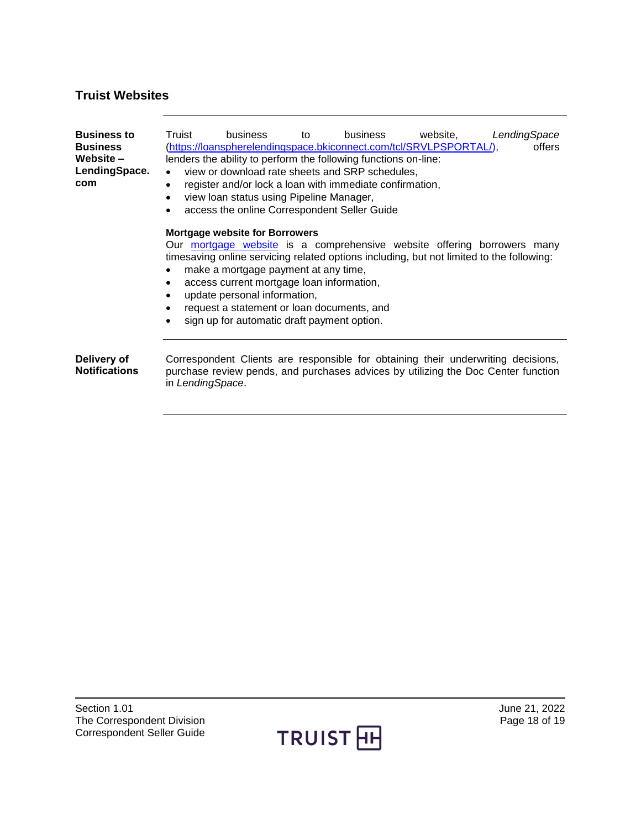### <span id="page-17-0"></span>**Truist Websites**

<span id="page-17-2"></span><span id="page-17-1"></span>

| <b>Business to</b><br><b>Business</b><br>Website –<br>LendingSpace.<br>com                                                                                                                                                                                                                                                                                                                                                                                                         | Truist<br>$\bullet$<br>$\bullet$<br>$\bullet$ | business<br>view loan status using Pipeline Manager,<br>access the online Correspondent Seller Guide | tο | business<br>lenders the ability to perform the following functions on-line:<br>view or download rate sheets and SRP schedules,<br>register and/or lock a loan with immediate confirmation, | website,<br>(https://loanspherelendingspace.bkiconnect.com/tcl/SRVLPSPORTAL/),                                                                                         | LendingSpace<br>offers |
|------------------------------------------------------------------------------------------------------------------------------------------------------------------------------------------------------------------------------------------------------------------------------------------------------------------------------------------------------------------------------------------------------------------------------------------------------------------------------------|-----------------------------------------------|------------------------------------------------------------------------------------------------------|----|--------------------------------------------------------------------------------------------------------------------------------------------------------------------------------------------|------------------------------------------------------------------------------------------------------------------------------------------------------------------------|------------------------|
| <b>Mortgage website for Borrowers</b><br>Our mortgage website is a comprehensive website offering borrowers many<br>timesaving online servicing related options including, but not limited to the following:<br>make a mortgage payment at any time,<br>$\bullet$<br>access current mortgage loan information,<br>$\bullet$<br>update personal information,<br>$\bullet$<br>request a statement or loan documents, and<br>$\bullet$<br>sign up for automatic draft payment option. |                                               |                                                                                                      |    |                                                                                                                                                                                            |                                                                                                                                                                        |                        |
| Delivery of<br><b>Notifications</b>                                                                                                                                                                                                                                                                                                                                                                                                                                                | in LendingSpace.                              |                                                                                                      |    |                                                                                                                                                                                            | Correspondent Clients are responsible for obtaining their underwriting decisions,<br>purchase review pends, and purchases advices by utilizing the Doc Center function |                        |